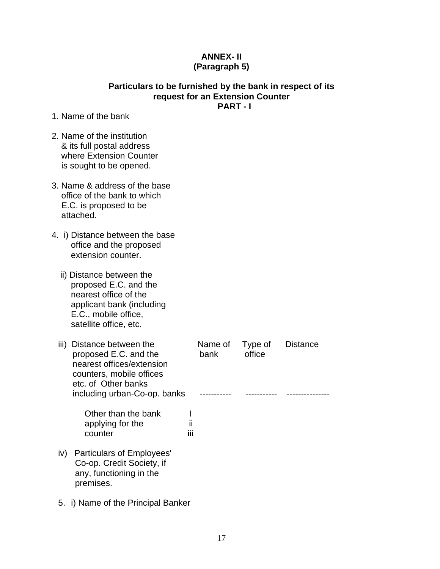## **ANNEX- II (Paragraph 5)**

## **Particulars to be furnished by the bank in respect of its request for an Extension Counter PART - I**

- 1. Name of the bank
- 2. Name of the institution & its full postal address where Extension Counter is sought to be opened.
- 3. Name & address of the base office of the bank to which E.C. is proposed to be attached.
- 4. i) Distance between the base office and the proposed extension counter.
	- ii) Distance between the proposed E.C. and the nearest office of the applicant bank (including E.C., mobile office, satellite office, etc.

| iii) | Distance between the<br>proposed E.C. and the<br>nearest offices/extension<br>counters, mobile offices<br>etc. of Other banks |            | Name of<br>bank | Type of<br>office | <b>Distance</b> |
|------|-------------------------------------------------------------------------------------------------------------------------------|------------|-----------------|-------------------|-----------------|
|      | including urban-Co-op. banks                                                                                                  |            |                 |                   |                 |
|      | Other than the bank<br>applying for the<br>counter                                                                            | Ш<br><br>Ш |                 |                   |                 |
| iv)  | Particulars of Employees'<br>Co-op. Credit Society, if<br>any, functioning in the<br>premises.                                |            |                 |                   |                 |

5. i) Name of the Principal Banker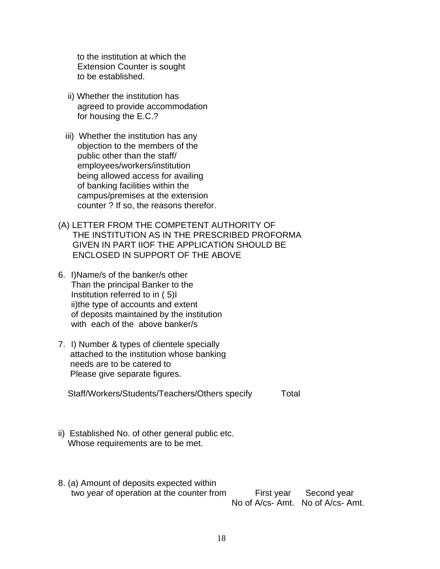to the institution at which the Extension Counter is sought to be established.

- ii) Whether the institution has agreed to provide accommodation for housing the E.C.?
- iii) Whether the institution has any objection to the members of the public other than the staff/ employees/workers/institution being allowed access for availing of banking facilities within the campus/premises at the extension counter ? If so, the reasons therefor.
- (A) LETTER FROM THE COMPETENT AUTHORITY OF THE INSTITUTION AS IN THE PRESCRIBED PROFORMA GIVEN IN PART IIOF THE APPLICATION SHOULD BE ENCLOSED IN SUPPORT OF THE ABOVE
- 6. I)Name/s of the banker/s other Than the principal Banker to the Institution referred to in ( 5)I ii)the type of accounts and extent of deposits maintained by the institution with each of the above banker/s
- 7. I) Number & types of clientele specially attached to the institution whose banking needs are to be catered to Please give separate figures.

Staff/Workers/Students/Teachers/Others specify Total

- ii) Established No. of other general public etc. Whose requirements are to be met.
- 8. (a) Amount of deposits expected within two year of operation at the counter from First year Second year No of A/cs- Amt. No of A/cs- Amt.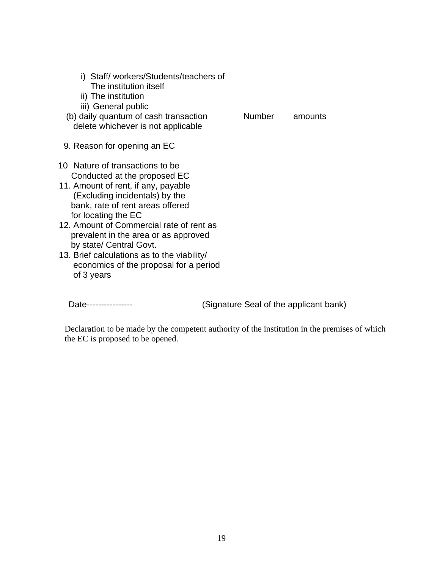| i) Staff/workers/Students/teachers of |  |
|---------------------------------------|--|
| The institution itself                |  |

- ii) The institution
- iii) General public
- (b) daily quantum of cash transaction Number amounts delete whichever is not applicable

- 9. Reason for opening an EC
- 10 Nature of transactions to be Conducted at the proposed EC
- 11. Amount of rent, if any, payable (Excluding incidentals) by the bank, rate of rent areas offered for locating the EC
- 12. Amount of Commercial rate of rent as prevalent in the area or as approved by state/ Central Govt.
- 13. Brief calculations as to the viability/ economics of the proposal for a period of 3 years

Date---------------- (Signature Seal of the applicant bank)

Declaration to be made by the competent authority of the institution in the premises of which the EC is proposed to be opened.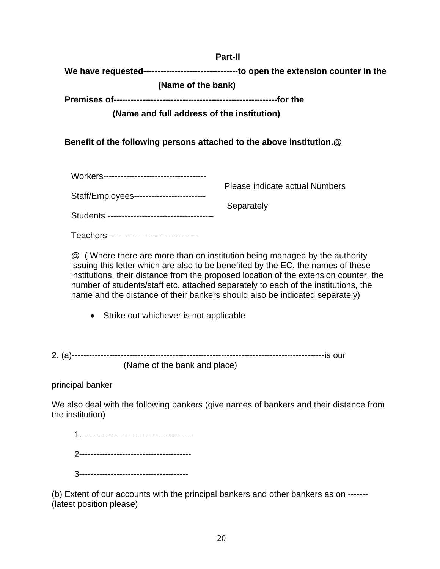**Part-II** 

**We have requested---------------------------------to open the extension counter in the** 

 **(Name of the bank)** 

**Premises of---------------------------------------------------------for the** 

 **(Name and full address of the institution)** 

**Benefit of the following persons attached to the above institution.@** 

|                                         | Please indicate actual Numbers |
|-----------------------------------------|--------------------------------|
| Staff/Employees------------------------ |                                |
|                                         | Separately                     |
|                                         |                                |

Teachers--------------------------------

@ ( Where there are more than on institution being managed by the authority issuing this letter which are also to be benefited by the EC, the names of these institutions, their distance from the proposed location of the extension counter, the number of students/staff etc. attached separately to each of the institutions, the name and the distance of their bankers should also be indicated separately)

• Strike out whichever is not applicable

2. (a)----------------------------------------------------------------------------------------is our (Name of the bank and place)

principal banker

We also deal with the following bankers (give names of bankers and their distance from the institution)

(b) Extent of our accounts with the principal bankers and other bankers as on ------- (latest position please)